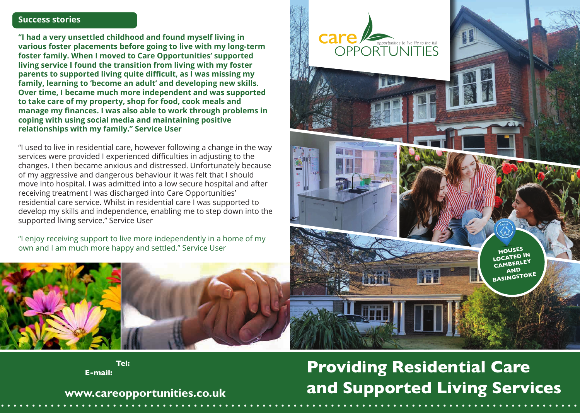#### **Success stories**

**"I had a very unsettled childhood and found myself living in various foster placements before going to live with my long-term foster family. When I moved to Care Opportunities' supported living service I found the transition from living with my foster parents to supported living quite difficult, as I was missing my family, learning to 'become an adult' and developing new skills. Over time, I became much more independent and was supported to take care of my property, shop for food, cook meals and manage my finances. I was also able to work through problems in coping with using social media and maintaining positive relationships with my family." Service User**

"I used to live in residential care, however following a change in the way services were provided I experienced difficulties in adjusting to the changes. I then became anxious and distressed. Unfortunately because of my aggressive and dangerous behaviour it was felt that I should move into hospital. I was admitted into a low secure hospital and after receiving treatment I was discharged into Care Opportunities' residential care service. Whilst in residential care I was supported to develop my skills and independence, enabling me to step down into the supported living service." Service User

"I enjoy receiving support to live more independently in a home of my



Tel: **E-mail:** 

# **Providing Residential Care and Supported Living Services**

**www.careopportunities.co.uk**